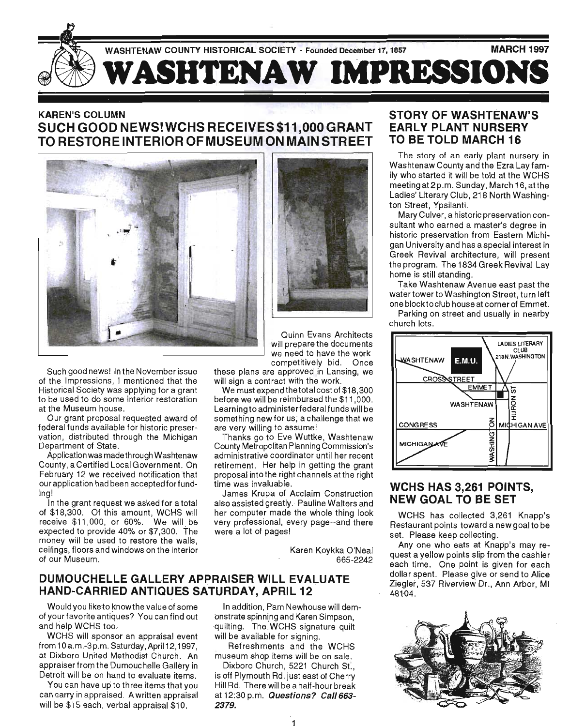

# KAREN'S COLUMN SUCH GOOD NEWS! WCHS RECEIVES \$11 ,000 GRANT TO RESTORE INTERIOR OF MUSEUM ON MAIN STREET



Such good news! In the November issue of the Impressions, I mentioned that the Historical Society was applying for a grant to be used to do some interior restoration at the Museum house.

Our grant proposal requested award of federal funds available for historic preservation, distributed through the Michigan Department of State.

Application was madethrough Washtenaw County, a Certified Local Government. On February 12 we received notification that our application had been accepted for funding!

In the grant request we asked for a total of \$18,300. Of this amount, WCHS will receive \$11,000, or 60%. We will be expected to provide 40% or \$7,300. The money will be used to restore the walls, ceilings, floors and windows on the interior of our Museum.



Quinn Evans Architects will prepare the documents we need to have the work competitively bid. Once

these plans are approved in Lansing, we will sign a contract with the work.

We must expend the total cost of \$18,300 before we will be reimbursed the \$11 ,000. Learningto administerfederalfunds will be something new for us; a challenge that we are very willing to assume!

Thanks go to Eve Wuttke, Washtenaw County Metropolitan Planning Commission's administrative coordinator until her recent retirement. Her help in getting the grant proposal into the right channels at the right time was invaluable.

James Krupa of Acclaim Construction also assisted greatly. Pauline Walters and her computer made the whole thing look very professional, every page--and there were a lot of pages!

> Karen Koykka O'Neal 665-2242

### DUMOUCHELLE GALLERY APPRAISER WILL EVALUATE HAND-CARRIED ANTIQUES SATURDAY, APRIL 12

Would you like to know the value of some of your favorite antiques? You can find out ' and help WCHS too.

WCHS will sponsor an appraisal event from 10a.m.-3p.m. Saturday, April 12,1997, at Dixboro United Methodist Church. An appraiser from the Dumouchelle Gallery in Detroit will be on hand to evaluate items.

You can have up to three items that you can carry in appraised. A written appraisal will be \$15 each, verbal appraisal \$10.



Refreshments and the WCHS museum shop items will be on sale.

Dixboro Church, 5221 Church St., is off Plymouth Rd. just east of Cherry Hill Rd. There will be a half-hour break at 12:30 p.m. Questions? Ca1/663- 2379.

### STORY OF WASHTENAW'S EARLY PLANT NURSERY TO BE TOLD MARCH 16

The story of an early plant nursery in Washtenaw County and the Ezra Lay family who started it will be told at the WCHS meeting at 2 p.m. Sunday, March 16, at the Ladies' Literary Club, 218 North Washington Street, Ypsilanti.

Mary Culver, a historic preservation consultant who earned a master's degree in historic preservation from Eastern Michigan University and has a special interest in Greek Revival architecture, will present the program. The 1834 Greek Revival Lay home is still standing.

Take Washtenaw Avenue east past the water tower to Washington Street, turn left one blocktociub house at corner of Emmet.

Parking on street and usually in nearby church lots.



### WCHS HAS 3,261 POINTS, NEW GOAL TO BE SET

WCHS has collected 3,261 Knapp's Restaurant points toward a new goal to be set. Please keep collecting.

Anyone who eats at Knapp's may request a yellow points slip from the cashier each time. One point is given for each dollar spent. Please give or send to Alice Ziegler, 537 Riverview Dr., Ann Arbor, MI 48104.

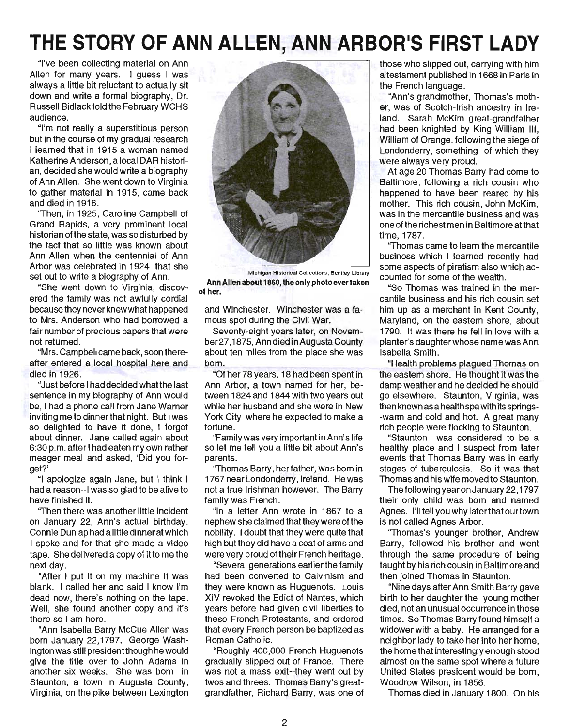# **THE STORY OF ANN ALLEN, ANN ARBOR1S FIRST LADY**

"I've been collecting material on Ann Allen for many years. I guess I was always a little bit reluctant to actually sit down and write a formal biography, Dr. Russell Bidlack told the February WCHS audience.

"I'm not really a superstitious person but in the course of my gradual research I learned that in 1915 a woman named Katherine Anderson, a local DAR historian, decided she would write a biography of Ann Allen. She went down to Virginia to gather material in 1915, came back and died in 1916.

"Then, in 1925, Caroline Campbell of Grand Rapids, a very prominent local historian ofthe state, was so disturbed by the fact that so little was known about Ann Allen when the centennial of Ann Arbor was celebrated in 1924 that she set out to write a biography of Ann.

"She went down to Virginia, discovered the family was not awfully cordial because they never knew what happened to Mrs. Anderson who had borrowed a fair number of precious papers that were not returned.

"Mrs. Campbell came back, soon thereafter entered a local hospital here and died in 1926.

"Just before I had decided what the last sentence in my biography of Ann would be, I had a phone call from Jane Warner inviting me to dinner that night. But I was so delighted to have it done, I forgot about dinner. Jane called again about 6:30 p.m. after I had eaten my own rather meager meal and asked, 'Did you forget?'

"I apologize again Jane, but I think I had a reason--I was so glad to be alive to have finished it.

"Then there was another little incident on January 22, Ann's actual birthday. Connie Dunlap had a little dinner at which I spoke and for that she made a video tape. She delivered a copy of it to me the next day.

"After I put it on my machine it was blank. I called her and said I know I'm dead now, there's nothing on the tape. Well, she found another copy and it's there so I am here.

"Ann Isabella Barry McCue Allen was born January 22,1797. George Washington was still president though he would give the title over to John Adams in another six weeks. She was born in Staunton, a town in Augusta County, Virginia, on the pike between Lexington



Michigan Historical Collections. Bentley Library Ann Allen about 1860, the only photo ever taken of her.

and Winchester. Winchester was a famous spot during the Civil War.

Seventy-eight years later, on November27, 1875, Ann died in Augusta County about ten miles from the place she was born.

"Of her 78 years, 18 had been spent in Ann Arbor, a town named for her, between 1824 and 1844 with two years out while her husband and she were in New York City where he expected to make a fortune.

"Family was very important in Ann's life so let me tell you a little bit about Ann's parents.

"Thomas Barry, her father, was born in 1767 near Londonderry, Ireland. He was not a true Irishman however. The Barry family was French.

"In a letter Ann wrote in 1867 to a nephew she claimed that they were of the nobility. I doubt that they were quite that high but they did have a coat of arms and were very proud of their French heritage.

"Several generations earlierthe family had been converted to Calvinism and they were known as Huguenots. Louis XIV revoked the Edict of Nantes, which years before had given civil liberties to these French Protestants, and ordered that every French person be baptized as Roman Catholic.

"Roughly 400,000 French Huguenots gradually slipped out of France. There was not a mass exit--they went out by twos and threes. Thomas Barry's greatgrandfather, Richard Barry, was one of those who slipped out, carrying with him a testament published in 1668 in Paris in the French language.

"Ann's grandmother, Thomas's mother, was of Scotch-Irish ancestry in Ireland. Sarah McKim great-grandfather had been knighted by King William III, William of Orange, following the siege of Londonderry, something of which they were always very proud.

At age 20 Thomas Barry had come to Baltimore, following a rich cousin who happened to have been reared by his mother. This rich cousin, John McKim, was in the mercantile business and was one of the richest men in Baltimore at that time, 1787.

"Thomas came to learn the mercantile business which I learned recently had some aspects of piratism also which accounted for some of the wealth.

"So Thomas was trained in the mercantile business and his rich cousin set him up as a merchant in Kent County, Maryland, on the eastern shore, about 1790. It was there he fell in love with a planter's daughter whose name was Ann Isabella Smith.

"Health problems plagued Thomas on the eastern shore. He thought it was the damp weather and he decided he should go elsewhere. Staunton, Virginia, was then known asa health spa with its springs- -warm and cold and hot. A great many rich people were flocking to Staunton.

"Staunton was considered to be a healthy place and I suspect from later events that Thomas Barry was in early stages of tuberculosis. So it was that Thomas and his wife moved to Staunton.

The following year on January 22,1797 their only child was born and named Agnes. I'll tell you why later that our town is not called Agnes Arbor.

"Thomas's younger brother, Andrew Barry, followed his brother and went through the same procedure of being taught by his rich cousin in Baltimore and then joined Thomas in Staunton.

"Nine days after Ann Smith Barry gave birth to her daughter the young mother died, not an unusual occurrence in those times. So Thomas Barry found himself a widower with a baby. He arranged for a neighbor lady to take her into her home, the home that interestingly enough stood almost on the same spot where a future United States president would be born, Woodrow Wilson, in 1856.

Thomas died in January 1800. On his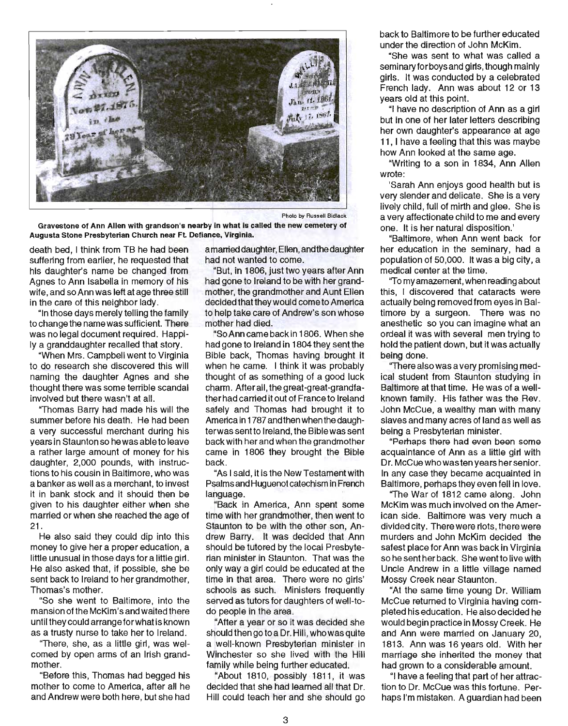

Photo by Russell Bidlack

Gravestone of Ann Allen with grandson's nearby in what is called the new cemetery of Augusta Stone Presbyterian Church near Ft Defiance, Virginia.

death bed, I think from TB he had been suffering from earlier, he requested that his daughter's name be changed from Agnes to Ann Isabella in memory of his wife, and so Ann was left at age three still in the care of this neighbor lady.

"In those days merely telling the family to change the name was sufficient. There was no legal document required. Happily a granddaughter recalled that story.

"When Mrs. Campbell went to Virginia to do research she discovered this will naming the daughter Agnes and she thought there was some terrible scandal involved but there wasn't at all.

"Thomas Barry had made his will the summer before his death. He had been a very successful merchant during his years in Staunton so he was able to leave a rather large amount of money for his daughter, 2,000 pounds, with instructions to his cousin in Baltimore, who was a banker as well as a merchant, to invest it in bank stock and it should then be given to his daughter either when she married or when she reached the age of 21.

He also said they could dip into this money to give her a proper education, a little unusual in those days for a little girl. He also asked that, if possible, she be sent back to Ireland to her grandmother, Thomas's mother.

"So she went to Baltimore, into the mansion of the McKim's and waited there until they could arrangeforwhat is known as a trusty nurse to take her to Ireland.

''There, she, as a little girl, was welcomed by open arms of an Irish grandmother.

"Before this, Thomas had begged his mother to come to America, after all he and Andrew were both here, but she had a married daughter, Ellen, and the daughter had not wanted to come.

"But, in 1806, just two years after Ann had gone to Ireland to be with her grandmother, the grandmother and Aunt Ellen decided that they would come to America to help take care of Andrew's son whose mother had died.

"So Ann came back in 1806. When she had gone to Ireland in 1804 they sent the Bible back, Thomas having brought it when he came. I think it was probably thought of as something of a good luck charm. After all, the great-great-grandfather had carried it out of France to Ireland safely and Thomas had brought it to America in 1787 and then when the daughterwas sent to Ireland, the Bible was sent back with her and when the grandmother came in 1806 they brought the Bible back.

"As I said, it is the New Testament with Psalms and Huguenot catechism in French language.

"Back in America, Ann spent some time with her grandmother, then went to Staunton to be with the other son, Andrew Barry. It was decided that Ann should be tutored by the local Presbyterian minister in Staunton. That was the only way a girl could be educated at the time in that area. There were no girls' schools as such. Ministers frequently served as tutors for daughters of well-todo people in the area.

"After a year or so it was decided she should then go to a Dr. Hill, who was quite a well-known Presbyterian minister in Winchester so she lived with the Hill family while being further educated.

"About 1810, possibly 1811, it was decided that she had learned all that Dr. Hill could teach her and she should go back to Baltimore to be further educated under the direction of John McKim.

"She was sent to what was called a seminary for boys and girls, though mainly girls. It was conducted by a celebrated French lady. Ann was about 12 or 13 years old at this point.

"I have no description of Ann as a girl but in one of her later letters describing her own daughter's appearance at age 11, I have a feeling that this was maybe how Ann looked at the same age.

"Writing to a son in 1834, Ann Allen wrote:

'Sarah Ann enjoys good health but is very slender and delicate. She is a very lively child, full of mirth and glee. She is a very affectionate child to me and every one. It is her natural disposition.'

"Baltimore, when Ann went back for her education in the seminary, had a population of 50,000. It was a big city, a medical center at the time.

"To my amazement, when reading about this, I discovered that cataracts were actually being removed from eyes in Baltimore by a surgeon. There was no anesthetic so you can imagine what an ordeal it was with several men trying to hold the patient down, but it was actually being done.

"There also was a very promising medical student from Staunton studying in Baltimore at that time. He was of a wellknown family. His father was the Rev. John McCue, a wealthy man with many slaves and many acres of land as well as being a Presbyterian minister.

"Pemaps there had even been some acquaintance of Ann as a little girl with Dr. McCue who was ten years her senior. In any case they became acquainted in Baltimore, perhaps they even fell in love.

"The War of 1812 came along. John McKim was much involved on the American side. Baltimore was very much a divided city. There were riots, there were murders and John McKim decided the safest place for Ann was back in Virginia so he sent her back. She went to live with Uncle Andrew in a little village named Mossy Creek near Staunton.

"At the same time young Dr. William McCue returned to Virginia having completed his education. He also decided he would begin practice in Mossy Creek. He and Ann were married on January 20, 1813. Ann was 16 years old. With her marriage she inherited the money that had grown to a considerable amount.

"I have a feeling that part of her attraction to Dr. McCue was this fortune. Perhaps I'm mistaken. A guardian had been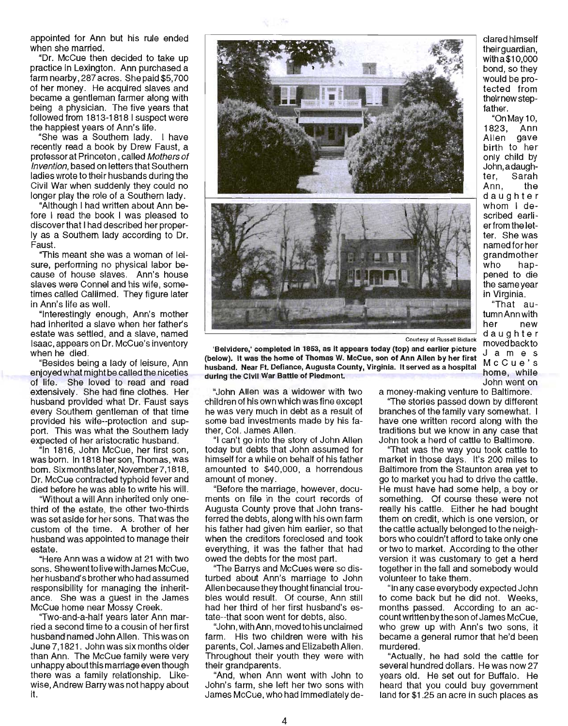appointed for Ann but his rule ended when she married.

"Dr. McCue then decided to take up practice in Lexington. Ann purchased a farm nearby, 287 acres. She paid \$5,700 of her money. He acquired slaves and became a gentleman farmer along with being a physician. The five years that followed from 1813-1818 I suspect were the happiest years of Ann's life.

"She was a Southern lady. I have recently read a book by Drew Faust, a professor at Princeton , called Mothers of Invention, based on letters that Southern ladies wrote to their husbands during the Civil War when suddenly they could no longer play the role of a Southern lady.

"Although I had written about Ann before I read the book I was pleased to discoverthat I had described her properly as a Southern lady according to Dr. Faust.

"This meant she was a woman of leisure, performing no physical labor because of house slaves. Ann's house slaves were Connel and his wife, sometimes called Callimed. They figure later in Ann's life as well.

"Interestingly enough, Ann's mother had inherited a slave when her father's estate was settled, and a slave, named Isaac, appears on Dr. McCue's inventory when he died.

"Besides being a lady of leisure, Ann enjoyed what might be called the niceties of life. She loved to read and read extensively. She had fine clothes. Her husband provided what Dr. Faust says every Southern gentleman of that time provided his wife--protection and support. This was what the Southern lady expected of her aristocratic husband.

"In 1816, John McCue, her first son, was born. In 1818 her son, Thomas, was born. Six months later, November 7, 1818, Dr. McCue contracted typhoid fever and died before he was able to write his will.

"Without a will Ann inherited only onethird of the estate, the other two-thirds was set aside for her sons. That was the custom of the time. A brother of her husband was appointed to manage their estate.

"Here Ann was a widow at 21 with two sons. Shewent to live with James McCue, her husband's brother who had assumed responsibility for managing the inheritance. She was a guest in the James McCue home near Mossy Creek.

''Two-and-a-half years later Ann married a second time to a cousin of her first husband named John Allen. This was on June 7,1821. John was six months older than Ann. The McCue family were very unhappy aboutthis marriage even though there was a family relationship. Likewise, Andrew Barry was not happy about it.



Courtesy of Russell Bidlack

'Belvidere,' completed in 1853, as it appears today (top) and earlier picture (below). It was the home of Thomas W. McCue, son of Ann Allen by her first husband. Near Ft. Defiance, Augusta County, Virginia. It served as a hospital during the Civil War Battle of Piedmont.

children of his own which was fine except he was very much in debt as a result of some bad investments made by his father, Col. James Allen.

"I can't go into the story of John Allen today but debts that John assumed for himself for a while on behalf of his father amounted to \$40,000, a horrendous amount of money.

"Before the marriage, however, documents on file in the court records of Augusta County prove that John transferred the debts, along with his own farm his father had given him earlier, so that when the creditors foreclosed and took everything, it was the father that had owed the debts for the most part.

''The Barrys and McCues were so disturbed about Ann's marriage to John Allen because they thought financial troubles would result. Of course, Ann still had her third of her first husband's estate--that soon went for debts, also.

"John, with Ann, moved to his unclaimed farm. His two children were with his parents, Col. James and Elizabeth Allen. Throughout their youth they were with their grandparents.

"And, when Ann went with John to John's farm, she left her two sons with James McCue, who had immediately de-

clared himself their quardian. witha\$10,000 bond, so they would be protected from theirnew stepfather.

"On May 10, 1823, Ann Allen gave birth to her only child by John, adaughter, Sarah Ann, the daughter whom I described earlierfrom the letter. She was named for her grandmother who happened to die the same year in Virginia.

"That autumnAnnwith her new daughter moved back to Jam e s McCue's home, while John went on

"John Allen was a widower with two a money-making venture to Baltimore.

"The stories passed down by different branches of the family vary somewhat. I have one written record along with the traditions but we know in any case that John took a herd of cattle to Baltimore.

''That was the way you took cattle to market in those days. It's 200 miles to Baltimore from the Staunton area yet to go to market you had to drive the cattle. He must have had some help, a boy or something. Of course these were not really his cattle. Either he had bought them on credit, which is one version, or the cattle actually belonged to the neighbors who couldn't afford to take only one or two to market. According to the other version it was customary to get a herd together in the fall and somebody would volunteer to take them .

"In any case everybody expected John to come back but he did not. Weeks, months passed. According to an account written by the son of James McCue, who grew up with Ann's two sons, it became a general rumor that he'd been murdered.

"Actually, he had sold the cattle for several hundred dollars. He was now 27 years old. He set out for Buffalo. He heard that you could buy government land for \$1 .25 an acre in such places as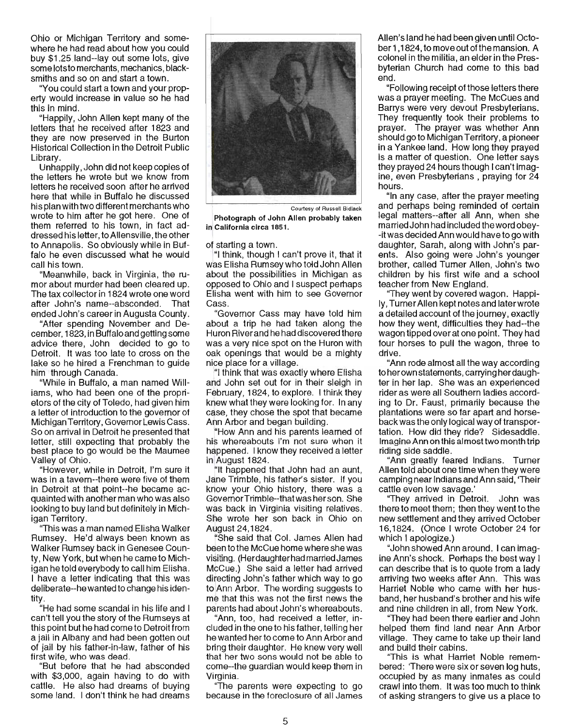Ohio or Michigan Territory and somewhere he had read about how you could buy \$1.25 land--lay out some lots, give some lots to merchants, mechanics, blacksmiths and so on and start a town.

"You could start a town and your property would increase in value so he had this in mind.

"Happily, John Allen kept many of the letters that he received after 1823 and they are now preserved in the Burton Historical Collection in the Detroit Public Library.

Unhappily, John did not keep copies of the letters he wrote but we know from letters he received soon after he arrived here that while in Buffalo he discussed his plan with two different merchants who wrote to him after he got here. One of them referred to his town, in fact addressed his letter, to Allensville, the other to Annapolis. So obviously while in Buffalo he even discussed what he would call his town.

"Meanwhile, back in Virginia, the rumor about murder had been cleared up. The tax collector in 1824 wrote one word after John's name--absconded. That ended John's career in Augusta County.

"After spending November and December, 1823, in Buffalo and getting some advice there, John decided to go to Detroit. It was too late to cross on the lake so he hired a Frenchman to guide him through Canada.

"While in Buffalo, a man named Williams, who had been one of the proprietors of the city of Toledo, had given him a letter of introduction to the governor of Michigan Territory, Governor Lewis Cass. So on arrival in Detroit he presented that letter, still expecting that probably the best place to go would be the Maumee Valley of Ohio.

"However, while in Detroit, I'm sure it was in a tavern--there were five of them in Detroit at that point--he became acquainted with another man who was also looking to buy land but definitely in Michigan Territory.

''This was a man named Elisha Walker Rumsey. He'd always been known as Walker Rumsey back in Genesee County, New York, but when he came to Michigan he told everybody to call him Elisha. I have a letter indicating that this was deliberate--he wanted to change his identity.

"He had some scandal in his life and I can't tell you the story of the Rumseys at this point but he had come to Detroit from a jail in Albany and had been gotten out of jail by his father-in-law, father of his first wife, who was dead.

"But before that he had absconded with \$3,000, again having to do with cattle. He also had dreams of buying some land. I don't think he had dreams



Courtesy of Russell Bidlack Photograph of John Allen probably taken in California circa 1851.

of starting a town.

"I think, though I can't prove it, that it was Elisha Rumsey who told John Allen about the possibilities in Michigan as opposed to Ohio and I suspect perhaps Elisha went with him to see Governor Cass.

( Governor Cass may have told him about a trip he had taken along the Huron Riverand he had discovered there was a very nice spot on the Huron with oak openings that would be a mighty nice place for a village.

"I think that was exactly where Elisha and John set out for in their sleigh in February, 1824, to explore. I think they knew what they were looking for. In any case, they chose the spot that became Ann Arbor and began building.

"How Ann and his parents learned of his whereabouts I'm not sure when it happened. I know they received a letter in August 1824.

"It happened that John had an aunt, Jane Trimble, his father's sister. If you know your Ohio history, there was a GovernorTrimble--thatwas her son. She was back in Virginia visiting relatives. She wrote her son back in Ohio on August 24,1824.

She said that Col. James Allen had been to the McCue home where she was visiting. (Herdaughterhad married James McCue.) She said a letter had arrived directing John's father which way to go to Ann Arbor. The wording suggests to me that this was not the first news the parents had about John's whereabouts.

"Ann, too, had received a letter, included in the one to his father, telling her he wanted her to come to Ann Arbor and bring their daughter. He knew very well that her two sons would not be able to come--the guardian would keep them in Virginia.

The parents were expecting to go because in the foreclosure of all James Allen's land he had been given until October 1,1824, to move out of the mansion. A colonel in the militia, an elder in the Presbyterian Church had come to this bad end.

"Following receipt of those letters there was a prayer meeting. The McCues and Barrys were very devout Presbyterians. They frequently took their problems to prayer. The prayer was whether Ann should go to Michigan Territory, a pioneer in a Yankee land. How long they prayed is a matter of question. One letter says they prayed 24 hours though I can't imagine, even Presbyterians, praying for 24 hours.

"In any case, after the prayer meeting and perhaps being reminded of certain legal matters--after all Ann, when she married John had included the word obey- -it was decided Ann would have to go with daughter, Sarah, along with John's parents. Also going were John's younger brother, called Turner Allen, John's two children by his first wife and a school teacher from New England.

''They went by covered wagon. Happi-Iy, Turner Allen kept notes and later wrote a detailed account of the journey, exactly how they went, difficulties they had--the wagon tipped over at one point. They had four horses to pull the wagon, three to drive.

"Ann rode almost all the way according to her own statements, carrying her daughter in her lap. She was an experienced rider as were all Southern ladies according to Dr. Faust, primarily because the plantations were so far apart and horseback was the only logical way of transportation. How did they ride? Sidesaddle. Imagine Ann on this almost two month trip riding side saddle.

"Ann greatly feared Indians. Turner Allen told about one time when they were camping near Indians and Ann said, 'Their cattle even low savage.'

"They arrived in Detroit. John was there to meet them; then they went to the new settlement and they arrived October 16,1824. (Once I wrote October 24 for which I apologize.)

"John showed Ann around. I can imagine Ann's shock. Perhaps the best way I can describe that is to quote from a lady arriving two weeks after Ann. This was Harriet Noble who came with her husband, her husband's brother and his wife and nine children in all, from New York.

They had been there earlier and John helped them find land near Ann Arbor village. They came to take up their land and build their cabins.

"This is what Harriet Noble remembered: 'There were six or seven log huts, occupied by as many inmates as could crawl into them. It was too much to think of asking strangers to give us a place to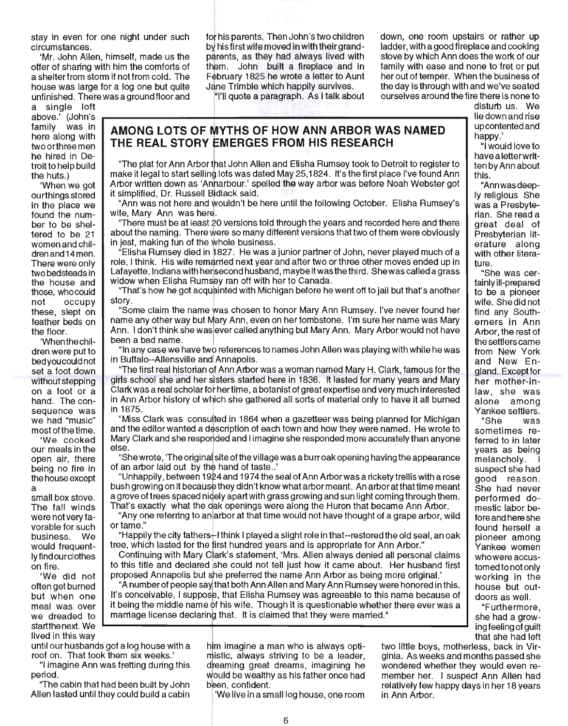stay in even for one night under such circumstances.

'Mr. John Allen, himself, made us the offer of sharing with him the comforts of a shelter from storm if not from cold. The house was large for a log one but quite unfinished. There wasa ground floor and

a single loft above.' (John's family was in here along with two orthree men he hired in Detroit to help build the huts.)

'When we got ourthings stored in the place we found the number to be sheltered to be 21 women and children and 14 men. There were only two bedsteads in the house and those, who could not occupy these, slept on feather beds on the floor.

'Whenthechildren were put to bed you could not set a foot down without stepping on a foot or a hand. The consequence was we had "music" most of the time.

'We cooked our meals in the open air, there being no fire in the house except a

small box stove. The fall winds were not very favorable for such business. We would frequent-Iyfindourclothes on fire.

'We did not often get burned but when one meal was over we dreaded to startthenext. We lived in this way

until our husbands got a log house with a roof on. That took them six weeks.'

"I imagine Ann was fretting during this period.

"The cabin that had been built by John Allen lasted until they could build a cabin 'We live in a small log house, one room

for his parents. Then John's two children by his first wife moved in with their grandparents, as they had always lived with them. John built a fireplace and in February 1825 he wrote a letter to Aunt Jane Trimble which happily survives.

"I'll quote a paragraph. As I talk about

down, one room upstairs or rather up ladder, with a good fireplace and cooking stove by which Ann does the work of our family with ease and none to fret or put her out of temper. When the business of the day is through with and we've seated ourselves around the fire there is none to

**AMONG LOTS OF MYTHS OF HOW ANN ARBOR WAS NAMED THE REAL STORY fMERGES FROM HIS RESEARCH** 

"The plat for Ann Arbor that John Allen and Elisha Rumsey took to Detroit to register to make it legal to start selling lots was dated May 25,1824. It's the first place I've found Ann Arbor written down as 'Anharbour.' spelled the way arbor was before Noah Webster got it simplified, Dr. Russell Bidlack said. "<br>"Ann was not here and wouldn't be here until the following October. Elisha Rumsey's

wife, Mary Ann was here.

There must be at least 20 versions told through the years and recorded here and there about the naming. There were so many different versions that two of them were obviously in jest, making fun of the whole business.

 $^4$ Elisha Rumsey died in  $\dot{\uparrow}$  827. He was a junior partner of John, never played much of a role, I think. His wife remarried next year and after two or three other moves ended up in Lafayette, Indiana with her second husband, maybe it was the third. She was called a grass widow when Elisha Rumsey ran off with her to Canada.

''That's how he got acqu~inted with Michigan before he went off to jail but that's another story. I

"Some claim the name was chosen to honor Mary Ann Rumsey. I've never found her name any other way but Mary Ann, even on her tombstone. I'm sure her name was Mary Ann. I don't think she was ever called anything but Mary Ann. Mary Arbor would not have been a bad name.

"In any case we have two references to names John Allen was playing with while he was in Buffalo--Allensville and Annapolis.

"The first real historian of Ann Arbor was a woman named Mary H. Clark, famous for the girls school she and her sisters started here in 1836. It lasted for many years and Mary Clark was a real scholar for her time, a botanist of great expertise and very much interested in Ann Arbor history of which she gathered all sorts of material only to have it all burned in 1875.

"Miss Clark was consulted in 1864 when a gazetteer was being planned for Michigan and the editor wanted a description of each town and how they were named. He wrote to Mary Clark and she responded and I imagine she responded more accurately than anyone else.

"She wrote, 'The origina site ofthe village was a burr oak opening having the appearance of an arbor laid out by the hand of taste..'

"Unhappily, between 1 924 and 1 974 the seal of Ann Arbor was a rickety trellis with a rose bush growing on it because they didn't know what arbor meant. An arbor at that time meant a grove of trees spaced nidely apart with grass growing and sun light coming through them . That's exactly what the dak openings were along the Huron that became Ann Arbor.

"Anyone referring to anlarbor at that time would not have thought of a grape arbor, wild or tame."

"Happily the city fathers $\cdot$ -I think I played a slight role in that--restored the old seal, an oak tree, which lasted for the first hundred years and is appropriate for Ann Arbor."

Continuing with Mary Clark's statement, 'Mrs. Allen always denied all personal claims to this title and declared she could not tell just how it came about. Her husband first proposed Annapolis but she preferred the name Ann Arbor as being more Original.'

"A number of people say that both Ann Allen and Mary Ann Rumsey were honored in this. It's conceivable, I suppose, that Elisha Rumsey was agreeable to this name because of it being the middle name of his wife. Though it is questionable whether there ever was a marriage license declaring that. It is claimed that they were married."

|<br>| im imagine a man who is alwavs opti-

mistic, always striving to be a leader, dreaming great dreams, imagining he would be wealthy as his father once had disturb us. We lie down and rise up contented and happy.'

"I would love to have a letterwritten by Ann about this.

"Ann was deep-Iy religious She was a Presbyterian. She read a great deal of Presbyterian literature along with other literature.

"She was certainly ill-prepared to be a pioneer wife. She did not find any Southerners in Ann Arbor, the rest of the settlers came from New York and New England. Exceptfor her mother-inlaw, she was alone among Yankee settlers.

"She was sometimes referred to in later years as being melancholy. suspect she had good reason. She had never performed domestic labor before and here she found herself a pioneer among Yankee women who were accustomed to not only working in the house but outdoors as well.

"Furthermore, she had a growing feeling of guilt that she had left

two little boys, motherless, back in Virginia. As weeks and months passed she wondered whether they would even remember her. I suspect Ann Allen had relatively few happy days in her 18 years in Ann Arbor.

been, confident.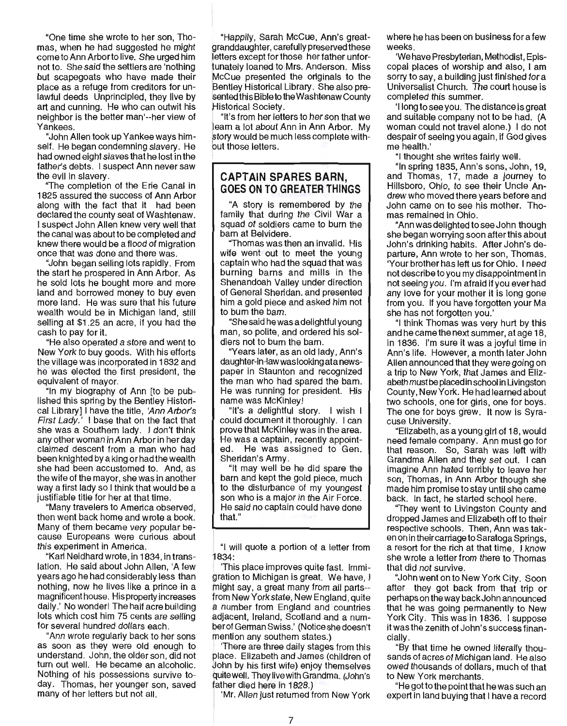"One time she wrote to her son, Thomas, when he had suggested he might come to Ann Arborto live. She urged him not to. She said the settlers are 'nothing but scapegoats who have made their place as a refuge from creditors for unlawful deeds Unprincipled, they live by art and cunning. He who can outwit his neighbor is the better man'--her view of Yankees.

"John Allen took up Yankee ways himself. He began condemning slavery. He had owned eight slaves that he lost in the father's debts. I suspect Ann never saw the evil in slavery.

"The completion of the Erie Canal in 1825 assured the success of Ann Arbor along with the fact that it had been declared the county seat of Washtenaw. I suspect John Allen knew very well that the canal was about to be completed and knew there would be a flood of migration once that was done and there was.

"John began selling lots rapidly. From the start he prospered in Ann Arbor. As he sold lots he bought more and more land and borrowed money to buy even more land. He was sure that his future wealth would be in Michigan land, still selling at \$1 .25 an acre, if you had the cash to pay for it.

"He also operated a store and went to New York to buy goods. With his efforts the village was incorporated in 1832 and he was elected the first president, the equivalent of mayor.

"In my biography of Ann [to be published this spring by the Bentley Historical Library] I have the title, 'Ann Arbor's First Lady.' I base that on the fact that she was a Southern lady. I don't think any other woman in Ann Arbor in her day claimed descent from a man who had been knighted by a king or had the wealth she had been accustomed to. And, as the wife of the mayor, she was in another way a first lady so I think that would be a justifiable title for her at that time.

"Many travelers to America observed, then went back home and wrote a book. Many of them became very popular because Europeans were curious about this experiment in America.

"Kart Neidhard wrote, in 1834, in translation. He said about John Allen, 'A few years ago he had considerably less than nothing, now he lives like a prince in a magnificent house. His property increases daily.' No wonder! The half acre building lots which cost him 75 cents are selling for several hundred dollars each.

"Ann wrote regularly back to her sons as soon as they were old enough to understand. John, the older son, did not turn out well. He became an alcoholic. Nothing of his possessions survive today. Thomas, her younger son, saved many of her letters but not all.

"Happily, Sarah McCue, Ann's greatgranddaughter, carefully preserved these letters except for those her father unfortunately loaned to Mrs. Anderson. Miss McCue presented the originals to the 'Bentley Historical Library. She also presented this Bible to the Washtenaw County sented this Bible to the<br>Historical Society.<br>"It's from her lette"<br>leam a lot about Al

"It's from her letters to her son that we learn a lot about Ann in Ann Arbor. My story would be much less complete withbut those letters.

# **CAPTAIN SPARES BARN, GOES ON TO GREATER THINGS**

"A story is remembered by the family that during the Civil War a squad of soldiers came to burn the barn at Belvidere.

"Thomas was then an invalid. His wife went out to meet the young captain who had the squad that was burning barns and mills in the Shenandoah Valley under direction of General Sheridan. and presented him a gold piece and asked him not to bum the bam.

"She said he was a delightful young man, so polite, and ordered his soldiers not to burn the bam.

~' Years later, as an old lady, Ann's daughter-in-law was looking ata newspaper in Staunton and recognized the man who had spared the bam. He was running for president. His name was McKinley!

"It's a delightful story. I wish I could document it thoroughly. I can prove that McKinley was in the area. He was a captain, recently appointed. He was assigned to Gen. Sheridan's Army.

"It may well be he did spare the barn and kept the gold piece, much to the disturbance of my youngest son who is a major in the Air Force. He said no captain could have done that."

"I will quote a portion of a letter from 1834:

'This place improves quite fast. Immigration to Michigan is great. We have, I might say, a great many from all parts- from New York state, New England, quite a number from England and countries adjacent, Ireland, Scotland and a number of German Swiss.' (Notice she doesn't mention any southern states.)

'There are three daily stages from this place. Elizabeth and James (children of .!John by his first wife) enjoy themselves quitewell. TheylivewithGrandma. (John's father died here in 1828.)

'Mr. Allen just returned from New York

where he has been on business for a few weeks.

'We have Presbyterian, Methodist, Episcopal places of worship and also, I am sorry to say, a building just finished for a Universalist Church. The court house is completed this summer.

'llong to see you. The distance is great and suitable company not to be had. (A woman could not travel alone.) I do not despair of seeing you again, if God gives me health.'

"I thought she writes fairty well.

"In spring 1835, Ann's sons, John, 19, and Thomas, 17, made a journey to Hillsboro, Ohio, to see their Uncle Andrew who moved there years before and John came on to see his mother. Thomas remained in Ohio.

"Ann was delighted to see John though she began worrying soon after this about John's drinking habits. After John's departure, Ann wrote to her son, Thomas. 'Your brother has left us for Ohio. I need not describe to you my disappointment in not seeing you. I'm afraid if you ever had any love for your mother it is long gone from you. If you have forgotten your Ma she has not forgotten you.'

"I think Thomas was very hurt by this and he came the next summer, at age 18, in 1836. I'm sure it was a joyful time in Ann's life. However, a month later John Allen announced that they were going on a trip to New York, that James and Elizabeth must be placed in school in Livingston County, New York. He had learned about two schools, one for girls, one for boys. The one for boys grew. It now is Syracuse University.

"Elizabeth, as a young girl of 18, would need female company. Ann must go for that reason. So, Sarah was left with Grandma Allen and they set out. I can imagine Ann hated terribly to leave her son, Thomas, in Ann Arbor though she made him promise to stay until she came back. In fact, he started school here.

''They went to Livingston County and dropped James and Elizabeth off to their respective schools. Then, Ann was taken on in their carriage to Saratoga Springs, a resort for the rich at that time, I know she wrote a letter from there to Thomas that did not survive.

"John went on to New York City. Soon after they got back from that trip or perhaps on the way back John announced that he was going permanently to New York City. This was in 1836. I suppose it was the zenith of John's success financially.

"By that time he owned literally thousands of acres of Michigan land. He also owed thousands of dollars, much of that to New York merchants.

"He got to the point that he was such an expert in land buying that I have a record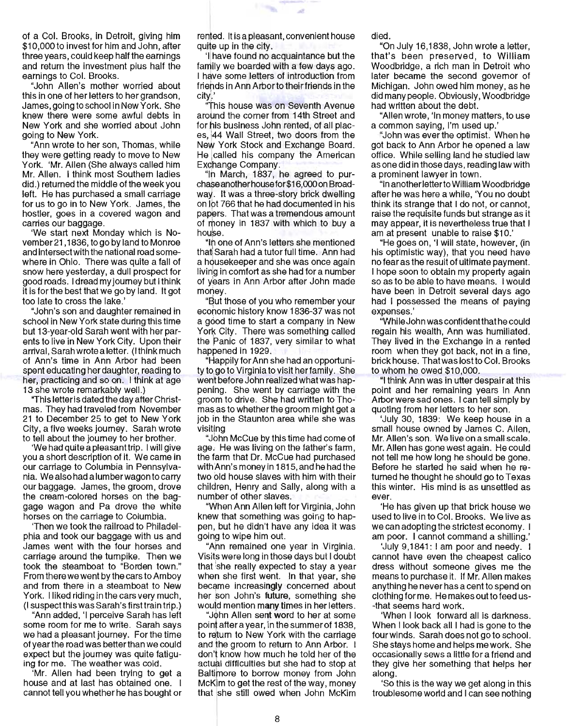of a Col. Brooks, in Detroit, giving him \$10,000 to invest for him and John, after three years, could keep half the earnings and return the investment plus half the earnings to Col. Brooks.

"John Allen's mother worried about this in one of her letters to her grandson, James, going to school in New York. She knew there were some awful debts in New York and she worried about John going to New York.

"Ann wrote to her son, Thomas, while they were getting ready to move to New York. 'Mr. Allen (She always called him Mr. Allen. I think most Southern ladies did.) returned the middle of the week you left. He has purchased a small carriage for us to go in to New York. James, the hostler, goes in a covered wagon and carries our baggage.

'We start next Monday which is November21 ,1836, to go by land to Monroe and intersect with the national road somewhere in Ohio. There was quite a fall of snow here yesterday, a dull prospect for good roads. I dread my journey but I think it is for the best that we go by land. It got too late to cross the lake.'

"John's son and daughter remained in school in New York state during this time but 13-year-old Sarah went with her parents to live in New York City. Upon their arrival, Sarah wrote a letter. (I think much of Ann's time in Ann Arbor had been spent educating her daughter, reading to her, practicing and so on. I think at age 13 she wrote remarkably well.)

"This letter is dated the day after Christmas. They had traveled from November 21 to December 25 to get to New York City, a five weeks journey. Sarah wrote to tell about the journey to her brother.

'We had quite a pleasanttrip. I will give you a short description of it. We came in our carriage to Columbia in Pennsylvania. We also had alumberwagonto carry our baggage. James, the groom, drove the cream-colored horses on the baggage wagon and Pa drove the white horses on the carriage to Columbia.

'Then we took the railroad to Philadelphia and took our baggage with us and James went with the four horses and carriage around the turnpike. Then we took the steamboat to "Borden town." From there we went by the cars to Amboy and from there in a steamboat to New York. I liked riding in the cars very much, (I suspectthis was Sarah's firsttrain trip.)

"Ann added, 'I perceive Sarah has left some room for me to write. Sarah says we had a pleasant journey. For the time of yearthe road was better than we could expect but the journey was quite fatiguing for me. The weather was cold.

'Mr. Allen had been trying to get a house and at last has obtained one. I cannot tell you whether he has bought or rented. It is a pleasant, convenient house quite up in the city.

m.

'I!have found no acquaintance but the family we boarded with a few days ago. I have some letters of introduction from friends in Ann Arborto their friends in the city).'

"This house was on Seventh Avenue around the corner from 14th Street and for his business John rented, of all places, 144 Wall Street, two doors from the New York Stock and Exchange Board. He Icalled his company the American Exchange Company.

"In March, 1837, he agreed to purchaseanotherhousefor\$16,OOOon Broadway. It was a three-story brick dwelling on lot 766 that he had documented in his papers. That was a tremendous amount of money in 1837 with which to buy a house.

"Ir one of Ann's letters she mentioned that Sarah had a tutor full time. Ann had a housekeeper and she was once again living in comfort as she had for a number of years in Ann Arbor after John made money.

"But those of you who remember your economic history know 1836-37 was not a good time to start a company in New York City. There was something called the Fanic of 1837, very similar to what happened in 1929.

"Happily for Ann she had an opportunity to go to Virginia to visit her family. She went before John realized what was happening. She went by carriage with the grodm to drive. She had written to Thomas as to whether the groom might get a job in the Staunton area while she was visiting

"John McCue by this time had come of age. He was living on the father's farm, the farm that Dr. McCue had purchased with Ann's money in 1815, and he had the two pld house slaves with him with their chilqren, Henry and Sally, along with a number of other slaves.

"When Ann Allen left for Virginia, John knew that something was going to happen, but he didn't have any idea it was going to wipe him out.

"Ann remained one year in Virginia. Visits were long in those days but I doubt that she really expected to stay a year when she first went. In that year, she became increasingly concerned about her son John's future, something she would mention many times in her letters.

"J0hn Allen sent word to her at some point after a year, in the summer of 1838, to return to New York with the carriage and the groom to return to Ann Arbor. I don't know how much he told her of the actual difficulties but she had to stop at Baltimore to borrow money from John McKim to get the rest of the way, money that she still owed when John McKim died.

"On July 16,1838, John wrote a letter, that's been preserved, to William Woodbridge, a rich man in Detroit who later became the second governor of Michigan. John owed him money, as he did many people. Obviously, Woodbridge had written about the debt.

"Allen wrote, 'In money matters, to use a common saying, I'm used up.'

"John was ever the optimist. When he got back to Ann Arbor he opened a law office. While selling land he studied law as one did in those days, reading law with a prominent lawyer in town.

"In anotherletterto William Woodbridge after he was here a while, 'You no doubt think its strange that I do not, or cannot, raise the requisite funds but strange as it may appear, it is nevertheless true that I am at present unable to raise \$10.'

"He goes on, 'I will state, however, (in his optimistic way), that you need have no fear as the result of ultimate payment. I hope soon to obtain my property again so as to be able to have means. I would have been in Detroit several days ago had I possessed the means of paying expenses.'

"While John was confident that he could regain his wealth, Ann was humiliated. They lived in the Exchange in a rented room when they got back, not in a fine, brick house. That was lostto Col. Brooks to whom he owed \$10,000.

"I think Ann was in utter despair at this point and her remaining years in Ann Arbor were sad ones. I can tell simply by quoting from her letters to her son.

'July 30, 1839: We keep house in a small house owned by James C. Allen, Mr. Allen's son. We live on a small scale. Mr. Allen has gone west again. He could not tell me how long he should be gone. Before he started he said when he returned he thought he should go to Texas this winter. His mind is as unsettled as ever.

'He has given up that brick house we used to live in to Col. Brooks. We live as we can adopting the strictest economy. I am poor. I cannot command a shilling.'

'July 9,1841 : I am poor and needy. I cannot have even the cheapest calico dress without someone gives me the means to purchase it. If Mr. Allen makes anything he never has a cent to spend on clothing for me. He makes out to feed us- -that seems hard work.

'When I look forward all is darkness. When I look back all I had is gone to the four winds. Sarah does not go to school. She stays home and helps me work. She occasionally sews a little for a friend and they give her something that helps her along.

'So this is the way we get along in this troublesome wond and I can see nothing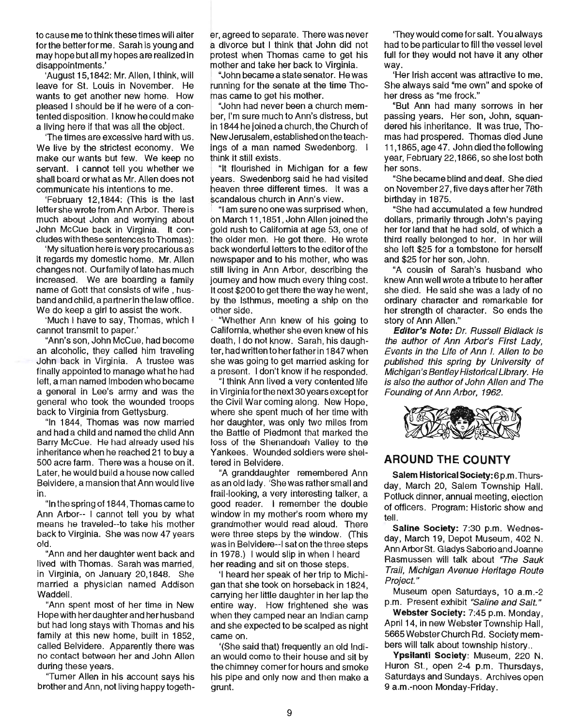to cause me to think these times will alter for the better for me. Sarah is young and may hope but all my hopes are realized in disappointments. '

'August 15,1842: Mr. Allen, I think, will leave for st. Louis in November. He wants to get another new home. How pleased I should be if he were of a contented disposition. I know he could make a living here if that was all the object.

'The times are excessive hard with us. We live by the strictest economy. We make our wants but few. We keep no servant. I cannot tell you whether we shall board orwhat as Mr. Allen does not communicate his intentions to me.

'February 12,1844: (This is the last letter she wrote from Ann Arbor. There is much about John and worrying about John McCue back in Virginia. It concludes with these sentences to Thomas):

'My situation here is very precarious as it regards my domestic home. Mr. Allen changes not. Our family of late has much increased. We are boarding a family name of Gott that consists of wife , husband and child, a partner in the law office. We do keep a girl to assist the work.

'Much I have to say, Thomas, which I cannot transmit to paper.'

"Ann's son, John McCue, had become an alcoholic, they called him traveling John back in Virginia. A trustee was finally appointed to manage what he had left, a man named Imboden who became a general in Lee's army and was the general who took the wounded troops back to Virginia from Gettysburg.

"In 1844, Thomas was now married and had a child and named the child Ann Barry McCue. He had already used his inheritance when he reached 21 to buy a 500 acre farm. There was a house on it. Later, he would build a house now called Belvidere, a mansion that Ann would live in.

"In the spring of 1844, Thomas came to Ann Arbor-- I cannot tell you by what means he traveled--to take his mother back to Virginia. She was now 47 years old.

"Ann and her daughter went back and lived with Thomas. Sarah was married, in Virginia, on January 20,1848. She married a physician named Addison Waddell.

"Ann spent most of her time in New Hope with her daughter and her husband but had long stays with Thomas and his family at this new home, built in 1852, called Belvidere. Apparently there was no contact between her and John Allen during these years.

''Turner Allen in his account says his brother and Ann, not living happy togeth-

er, agreed to separate. There was never a divorce but I think that John did not protest when Thomas came to get his mother and take her back to Virginia.

I "John became a state senator. He was unning for the senate at the time Thomas came to get his mother.

"John had never been a church member, I'm sure much to Ann's distress, but in 1844 he joined a church, the Church of New Jerusalem, established on the teachings of a man named Swedenborg. I think it still exists.

"It flourished in Michigan for a few years. Sweden borg said he had visited heaven three different times. It was a scandalous church in Ann's view.

"I am sure no one was surprised when, on March 11,1851 , John Allen joined the gold rush to California at age 53, one of the older men. He got there. He wrote back wonderful letters to the editor of the newspaper and to his mother, who was still living in Ann Arbor, describing the journey and how much every thing cost. It cost \$200 to get there the way he went, by the Isthmus, meeting a ship on the other side. .

"Whether Ann knew of his going to California, whether she even knew of his death, I do not know. Sarah, his daughter, had written to herfather in 1847when she was going to get married asking for a present. I don't know if he responded.

"j think Ann lived a very contented life in Virginia forthe next 30 years except for the Civil War coming along. New Hope, where she spent much of her time with her daughter, was only two miles from the Battle of Piedmont that marked the loss of the Shenandoah Valley to the Yankees. Wounded soldiers were sheltered in Belvidere.

"A granddaughter remembered Ann as an old lady. 'She was rather small and frail-looking, a very interesting talker, a good reader. I remember the double window in my mother's room where my grandmother would read aloud. There were three steps by the window. (This was in Belvidere--I sat on the three steps in 1978.) I would slip in when I heard her reading and sit on those steps.

! 'I heard her speak of her trip to Michigan that she took on horseback in 1824, carrying her little daughter in her lap the entire way. How frightened she was when they camped near an Indian camp and she expected to be scalped as night came on.

'(She said that) frequently an old Indian would come to their house and sit by the chimney comer for hours and smoke his pipe and only now and then make a grunt.

'They would come for salt. You always had to be particular to fill the vessel level full for they would not have it any other way.

'Her Irish accent was attractive to me. She always said "me own" and spoke of her dress as "me frock."

"But Ann had many sorrows in her passing years. Her son, John, squandered his inheritance. It was true, Thomas had prospered. Thomas died June 11 ,1865, age 47. John died the fOllowing year, February 22,1866, so she lost both her sons.

"She became blind and deaf. She died on November 27, five days atter her 78th birthday in 1875.

"She had accumulated a few hundred dollars, primarily through John's paying her for land that he had sold, of which a third really belonged to her. In her will she left \$25 for a tombstone for herself and \$25 for her son, John.

"A cousin of Sarah's husband who knew Ann well wrote a tribute to her after she died. He said she was a lady of no ordinary character and remarkable for her strength of character. So ends the story of Ann Allen."

**Editor's Note: Dr. Russell Bidlack is** the author of Ann Arbor's First Lady, Events in the Ufe of Ann I. Allen to be published this spring by University of Michigan's Bentley Historical Library. He is also the author of John Allen and The Founding of Ann Arbor, 1962.



# **AROUND THE COUNTY**

Salem Historical Society: 6 p.m. Thursday, March 20, Salem Township Hall. Potluck dinner, annual meeting, election of officers. Program: Historic show and tell.

Saline Society: 7:30 p.m. Wednesday, March 19, Depot Museum, 402 N. Ann Arbor St. Gladys Saborio and Joanne Rasmussen will talk about 'The Sauk Trail, Michigan Avenue Heritage Route Projecf."

Museum open Saturdays, 10 a.m.-2 p.m. Present exhibit "Saline and Salf."

Webster Society: 7:45 p.m. Monday, April 14, in new Webster Township Hall, 5665 Webster Church Rd. Society members will talk about township history ..

Ypsilanti Society: Museum, 220 N. Huron St., open 2-4 p.m. Thursdays, Saturdays and Sundays. Archives open 9 a.m.-noon Monday-Friday.